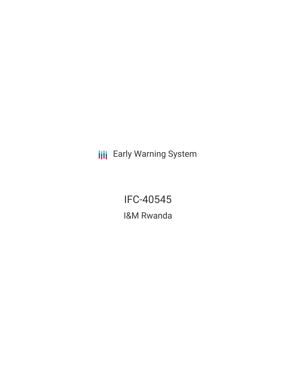**III** Early Warning System

IFC-40545 I&M Rwanda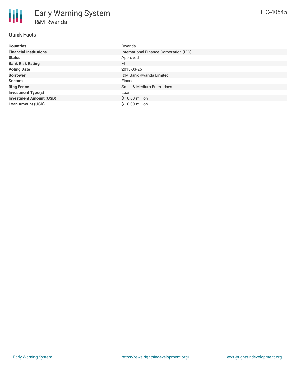| <b>Countries</b>               | Rwanda                                  |
|--------------------------------|-----------------------------------------|
| <b>Financial Institutions</b>  | International Finance Corporation (IFC) |
| <b>Status</b>                  | Approved                                |
| <b>Bank Risk Rating</b>        | FI.                                     |
| <b>Voting Date</b>             | 2018-03-26                              |
| <b>Borrower</b>                | <b>I&amp;M Bank Rwanda Limited</b>      |
| <b>Sectors</b>                 | Finance                                 |
| <b>Ring Fence</b>              | <b>Small &amp; Medium Enterprises</b>   |
| <b>Investment Type(s)</b>      | Loan                                    |
| <b>Investment Amount (USD)</b> | $$10.00$ million                        |
| <b>Loan Amount (USD)</b>       | $$10.00$ million                        |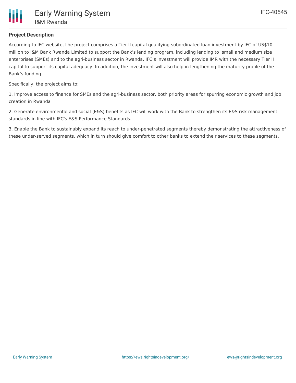## **Project Description**

According to IFC website, the project comprises a Tier II capital qualifying subordinated loan investment by IFC of US\$10 million to I&M Bank Rwanda Limited to support the Bank's lending program, including lending to small and medium size enterprises (SMEs) and to the agri-business sector in Rwanda. IFC's investment will provide IMR with the necessary Tier II capital to support its capital adequacy. In addition, the investment will also help in lengthening the maturity profile of the Bank's funding.

Specifically, the project aims to:

1. Improve access to finance for SMEs and the agri-business sector, both priority areas for spurring economic growth and job creation in Rwanda

2. Generate environmental and social (E&S) benefits as IFC will work with the Bank to strengthen its E&S risk management standards in line with IFC's E&S Performance Standards.

3. Enable the Bank to sustainably expand its reach to under-penetrated segments thereby demonstrating the attractiveness of these under-served segments, which in turn should give comfort to other banks to extend their services to these segments.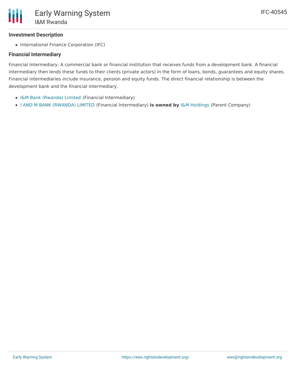## **Investment Description**

• International Finance Corporation (IFC)

#### **Financial Intermediary**

Financial Intermediary: A commercial bank or financial institution that receives funds from a development bank. A financial intermediary then lends these funds to their clients (private actors) in the form of loans, bonds, guarantees and equity shares. Financial intermediaries include insurance, pension and equity funds. The direct financial relationship is between the development bank and the financial intermediary.

- I&M Bank [\(Rwanda\)](file:///actor/1092/) Limited (Financial Intermediary)
- I AND M BANK [\(RWANDA\)](file:///actor/4048/) LIMITED (Financial Intermediary) **is owned by** I&M [Holdings](file:///actor/4049/) (Parent Company)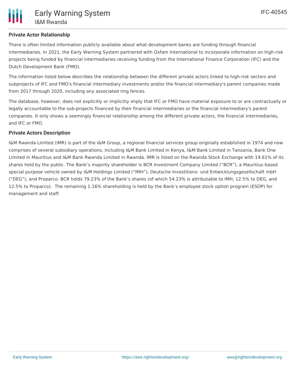## **Private Actor Relationship**

There is often limited information publicly available about what development banks are funding through financial intermediaries. In 2021, the Early Warning System partnered with Oxfam International to incorporate information on high-risk projects being funded by financial intermediaries receiving funding from the International Finance Corporation (IFC) and the Dutch Development Bank (FMO).

The information listed below describes the relationship between the different private actors linked to high-risk sectors and subprojects of IFC and FMO's financial intermediary investments and/or the financial intermediary's parent companies made from 2017 through 2020, including any associated ring fences.

The database, however, does not explicitly or implicitly imply that IFC or FMO have material exposure to or are contractually or legally accountable to the sub-projects financed by their financial intermediaries or the financial intermediary's parent companies. It only shows a seemingly financial relationship among the different private actors, the financial intermediaries, and IFC or FMO.

#### **Private Actors Description**

I&M Rwanda Limited (IMR) is part of the I&M Group, a regional financial services group originally established in 1974 and now comprises of several subsidiary operations, including I&M Bank Limited in Kenya, I&M Bank Limited in Tanzania, Bank One Limited in Mauritius and I&M Bank Rwanda Limited in Rwanda. IMR is listed on the Rwanda Stock Exchange with 19.61% of its shares held by the public. The Bank's majority shareholder is BCR Investment Company Limited ("BCR"), a Mauritius based special purpose vehicle owned by I&M Holdings Limited ("IMH"), Deutsche Investitions- und Entwicklungsgesellschaft mbH ("DEG"), and Proparco. BCR holds 79.23% of the Bank's shares (of which 54.23% is attributable to IMH, 12.5% to DEG, and 12.5% to Proparco). The remaining 1.16% shareholding is held by the Bank's employee stock option program (ESOP) for management and staff.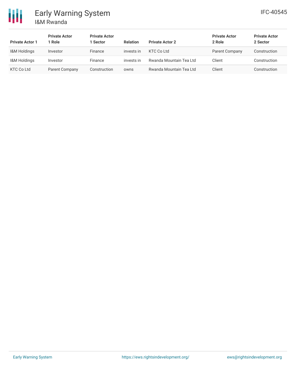

| <b>Private Actor 1</b> | <b>Private Actor</b><br>Role | <b>Private Actor</b><br>1 Sector | <b>Relation</b> | <b>Private Actor 2</b>  | <b>Private Actor</b><br>2 Role | <b>Private Actor</b><br>2 Sector |
|------------------------|------------------------------|----------------------------------|-----------------|-------------------------|--------------------------------|----------------------------------|
| I&M Holdings           | Investor                     | Finance                          | invests in      | <b>KTC Co Ltd</b>       | Parent Company                 | Construction                     |
| I&M Holdings           | Investor                     | Finance                          | invests in      | Rwanda Mountain Tea Ltd | Client                         | Construction                     |
| <b>KTC Co Ltd</b>      | Parent Company               | Construction                     | owns            | Rwanda Mountain Tea Ltd | Client                         | Construction                     |